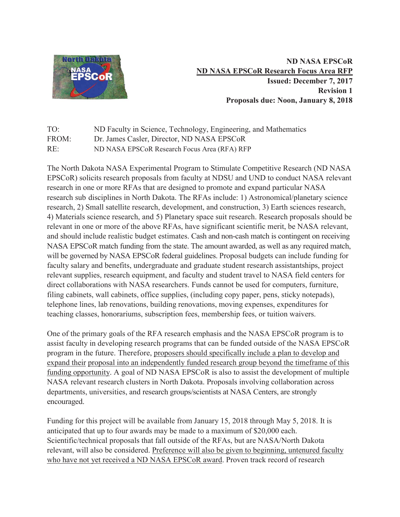

**ND NASA EPSCoR ND NASA EPSCoR Research Focus Area RFP Issued: December 7, 2017 Revision 1 Proposals due: Noon, January 8, 2018**

TO: ND Faculty in Science, Technology, Engineering, and Mathematics FROM: Dr. James Casler, Director, ND NASA EPSCoR RE: ND NASA EPSCoR Research Focus Area (RFA) RFP

The North Dakota NASA Experimental Program to Stimulate Competitive Research (ND NASA EPSCoR) solicits research proposals from faculty at NDSU and UND to conduct NASA relevant research in one or more RFAs that are designed to promote and expand particular NASA research sub disciplines in North Dakota. The RFAs include: 1) Astronomical/planetary science research, 2) Small satellite research, development, and construction, 3) Earth sciences research, 4) Materials science research, and 5) Planetary space suit research. Research proposals should be relevant in one or more of the above RFAs, have significant scientific merit, be NASA relevant, and should include realistic budget estimates. Cash and non-cash match is contingent on receiving NASA EPSCoR match funding from the state. The amount awarded, as well as any required match, will be governed by NASA EPSCoR federal guidelines. Proposal budgets can include funding for faculty salary and benefits, undergraduate and graduate student research assistantships, project relevant supplies, research equipment, and faculty and student travel to NASA field centers for direct collaborations with NASA researchers. Funds cannot be used for computers, furniture, filing cabinets, wall cabinets, office supplies, (including copy paper, pens, sticky notepads), telephone lines, lab renovations, building renovations, moving expenses, expenditures for teaching classes, honorariums, subscription fees, membership fees, or tuition waivers.

One of the primary goals of the RFA research emphasis and the NASA EPSCoR program is to assist faculty in developing research programs that can be funded outside of the NASA EPSCoR program in the future. Therefore, proposers should specifically include a plan to develop and expand their proposal into an independently funded research group beyond the timeframe of this funding opportunity. A goal of ND NASA EPSCoR is also to assist the development of multiple NASA relevant research clusters in North Dakota. Proposals involving collaboration across departments, universities, and research groups/scientists at NASA Centers, are strongly encouraged.

Funding for this project will be available from January 15, 2018 through May 5, 2018. It is anticipated that up to four awards may be made to a maximum of \$20,000 each. Scientific/technical proposals that fall outside of the RFAs, but are NASA/North Dakota relevant, will also be considered. Preference will also be given to beginning, untenured faculty who have not yet received a ND NASA EPSCoR award. Proven track record of research